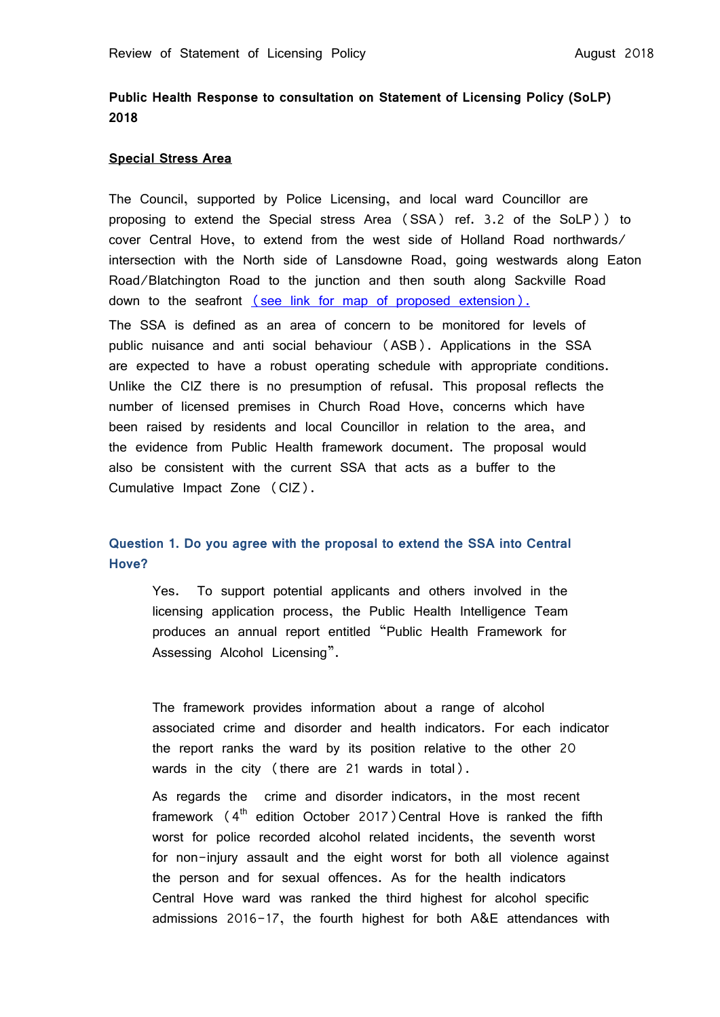# **Public Health Response to consultation on Statement of Licensing Policy (SoLP) 2018**

#### **Special Stress Area**

The Council, supported by Police Licensing, and local ward Councillor are proposing to extend the Special stress Area (SSA) ref. 3.2 of the SoLP)) to cover Central Hove, to extend from the west side of Holland Road northwards/ intersection with the North side of Lansdowne Road, going westwards along Eaton Road/Blatchington Road to the junction and then south along Sackville Road down to the seafront [\(see link for map of proposed extension\).](https://present.brighton-hove.gov.uk/Published/C00000157/M00009212/AI00067042/$20180619162445_016488_0057663_ProposedexpansionofSpecialStressAreaJune2018.pdfA.ps.pdf) The SSA is defined as an area of concern to be monitored for levels of public nuisance and anti social behaviour (ASB). Applications in the SSA are expected to have a robust operating schedule with appropriate conditions. Unlike the CIZ there is no presumption of refusal. This proposal reflects the number of licensed premises in Church Road Hove, concerns which have been raised by residents and local Councillor in relation to the area, and the evidence from Public Health framework document. The proposal would also be consistent with the current SSA that acts as a buffer to the Cumulative Impact Zone (CIZ).

# **Question 1. Do you agree with the proposal to extend the SSA into Central Hove?**

Yes. To support potential applicants and others involved in the licensing application process, the Public Health Intelligence Team produces an annual report entitled "Public Health Framework for Assessing Alcohol Licensing".

The framework provides information about a range of alcohol associated crime and disorder and health indicators. For each indicator the report ranks the ward by its position relative to the other 20 wards in the city (there are 21 wards in total).

As regards the crime and disorder indicators, in the most recent framework  $(4<sup>th</sup>$  edition October 2017) Central Hove is ranked the fifth worst for police recorded alcohol related incidents, the seventh worst for non-injury assault and the eight worst for both all violence against the person and for sexual offences. As for the health indicators Central Hove ward was ranked the third highest for alcohol specific admissions 2016-17, the fourth highest for both A&E attendances with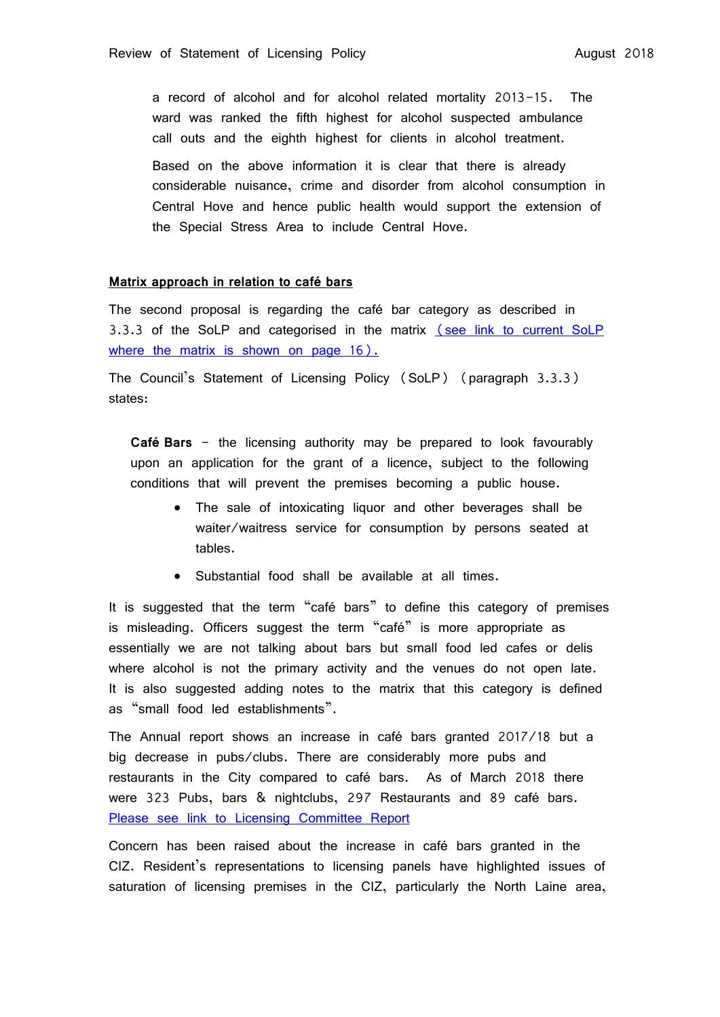a record of alcohol and for alcohol related mortality 2013-15. The ward was ranked the fifth highest for alcohol suspected ambulance call outs and the eighth highest for clients in alcohol treatment.

Based on the above information it is clear that there is already considerable nuisance, crime and disorder from alcohol consumption in Central Hove and hence public health would support the extension of the Special Stress Area to include Central Hove.

#### **Matrix approach in relation to café bars**

The second proposal is regarding the café bar category as described in 3.3.3 of the SoLP and categorised in the matrix (see link to current SoLP where the matrix [is shown on page 16\).](https://www.brighton-hove.gov.uk/sites/brighton-hove.gov.uk/files/Statement%20of%20Licensing%20Policy%202016%2001%2006%2016.pdf)

The Council's Statement of Licensing Policy (SoLP) (paragraph 3.3.3) states:

**Café Bars** - the licensing authority may be prepared to look favourably upon an application for the grant of a licence, subject to the following conditions that will prevent the premises becoming a public house.

- The sale of intoxicating liquor and other beverages shall be waiter/waitress service for consumption by persons seated at tables.
- Substantial food shall be available at all times.

It is suggested that the term "café bars" to define this category of premises is misleading. Officers suggest the term "café" is more appropriate as essentially we are not talking about bars but small food led cafes or delis where alcohol is not the primary activity and the venues do not open late. It is also suggested adding notes to the matrix that this category is defined as "small food led establishments".

The Annual report shows an increase in café bars granted 2017/18 but a big decrease in pubs/clubs. There are considerably more pubs and restaurants in the City compared to café bars. As of March 2018 there were 323 Pubs, bars & nightclubs, 297 Restaurants and 89 café bars. [Please see link to Licensing Committee Report](https://present.brighton-hove.gov.uk/Published/C00000157/M00006680/$$ADocPackPublic.pdf)

Concern has been raised about the increase in café bars granted in the CIZ. Resident's representations to licensing panels have highlighted issues of saturation of licensing premises in the CIZ, particularly the North Laine area,